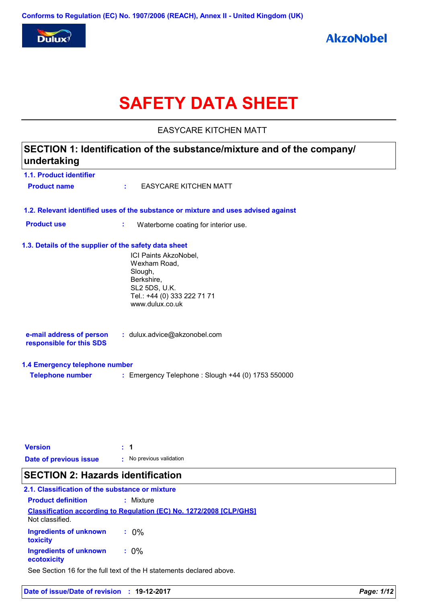

# **SAFETY DATA SHEET**

EASYCARE KITCHEN MATT

## **1.1. Product identifier 1.3. Details of the supplier of the safety data sheet 1.2. Relevant identified uses of the substance or mixture and uses advised against SECTION 1: Identification of the substance/mixture and of the company/ undertaking** ICI Paints AkzoNobel, Wexham Road, Slough, Berkshire, SL2 5DS, U.K. Tel.: +44 (0) 333 222 71 71 www.dulux.co.uk **e-mail address of person responsible for this SDS :** dulux.advice@akzonobel.com **1.4 Emergency telephone number Telephone number :** Emergency Telephone : Slough +44 (0) 1753 550000 **Version : 1 Product name :** EASYCARE KITCHEN MATT **Product use <b>:** Waterborne coating for interior use.

### **Date of previous issue :** No previous validation

### **SECTION 2: Hazards identification**

### **2.1. Classification of the substance or mixture Product definition :** Mixture

| Not classified.                       | <b>Classification according to Regulation (EC) No. 1272/2008 [CLP/GHS]</b> |
|---------------------------------------|----------------------------------------------------------------------------|
| Ingredients of unknown<br>toxicity    |                                                                            |
| Ingredients of unknown<br>ecotoxicity | $: 0\%$                                                                    |

See Section 16 for the full text of the H statements declared above.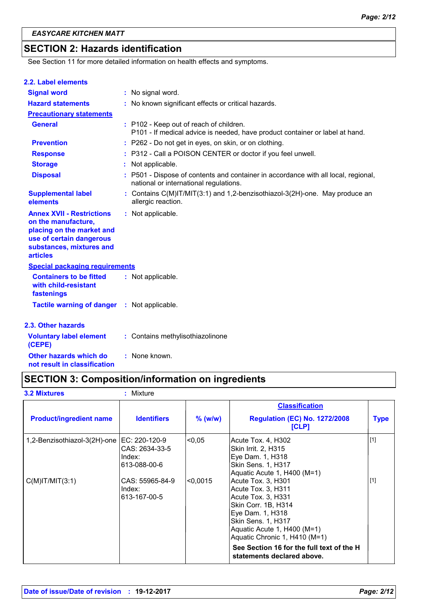### **SECTION 2: Hazards identification**

See Section 11 for more detailed information on health effects and symptoms.

| 2.2. Label elements                                                                                                                                             |                                                                                                                              |
|-----------------------------------------------------------------------------------------------------------------------------------------------------------------|------------------------------------------------------------------------------------------------------------------------------|
| <b>Signal word</b>                                                                                                                                              | : No signal word.                                                                                                            |
| <b>Hazard statements</b>                                                                                                                                        | : No known significant effects or critical hazards.                                                                          |
| <b>Precautionary statements</b>                                                                                                                                 |                                                                                                                              |
| <b>General</b>                                                                                                                                                  | : P102 - Keep out of reach of children.<br>P101 - If medical advice is needed, have product container or label at hand.      |
| <b>Prevention</b>                                                                                                                                               | : P262 - Do not get in eyes, on skin, or on clothing.                                                                        |
| <b>Response</b>                                                                                                                                                 | : P312 - Call a POISON CENTER or doctor if you feel unwell.                                                                  |
| <b>Storage</b>                                                                                                                                                  | Not applicable.                                                                                                              |
| <b>Disposal</b>                                                                                                                                                 | : P501 - Dispose of contents and container in accordance with all local, regional,<br>national or international regulations. |
| <b>Supplemental label</b><br>elements                                                                                                                           | : Contains $C(M)IT/MIT(3:1)$ and 1,2-benzisothiazol-3(2H)-one. May produce an<br>allergic reaction.                          |
| <b>Annex XVII - Restrictions</b><br>on the manufacture,<br>placing on the market and<br>use of certain dangerous<br>substances, mixtures and<br><b>articles</b> | : Not applicable.                                                                                                            |
| <b>Special packaging requirements</b>                                                                                                                           |                                                                                                                              |
| <b>Containers to be fitted</b><br>with child-resistant<br>fastenings                                                                                            | : Not applicable.                                                                                                            |
| <b>Tactile warning of danger : Not applicable.</b>                                                                                                              |                                                                                                                              |
| 2.3. Other hazards                                                                                                                                              |                                                                                                                              |
| <b>Voluntary label element</b><br>(CEPE)                                                                                                                        | : Contains methylisothiazolinone                                                                                             |
| Other hazards which do                                                                                                                                          | : None known.                                                                                                                |

**not result in classification**

### **SECTION 3: Composition/information on ingredients**

**3.2 Mixtures :** Mixture

|                                |                                                           |             | <b>Classification</b>                                                                                                                                                                           |             |
|--------------------------------|-----------------------------------------------------------|-------------|-------------------------------------------------------------------------------------------------------------------------------------------------------------------------------------------------|-------------|
| <b>Product/ingredient name</b> | <b>Identifiers</b>                                        | $%$ (w/w)   | <b>Regulation (EC) No. 1272/2008</b><br>[CLP]                                                                                                                                                   | <b>Type</b> |
| 1,2-Benzisothiazol-3(2H)-one   | EC: 220-120-9<br>CAS: 2634-33-5<br>Index:<br>613-088-00-6 | < 0.05      | Acute Tox. 4, H302 <br>Skin Irrit. 2, H315<br>Eye Dam. 1, H318<br> Skin Sens. 1, H317<br>Aquatic Acute 1, H400 (M=1)                                                                            | $[1]$       |
| $C(M)$ IT/MIT $(3:1)$          | CAS: 55965-84-9<br>Index:<br>613-167-00-5                 | $ $ <0.0015 | Acute Tox. 3, H301<br>Acute Tox. 3, H311<br>Acute Tox. 3, H331<br>Skin Corr. 1B, H314<br>Eye Dam. 1, H318<br>Skin Sens. 1, H317<br>Aquatic Acute 1, H400 (M=1)<br>Aquatic Chronic 1, H410 (M=1) | $[1]$       |
|                                |                                                           |             | See Section 16 for the full text of the H<br>statements declared above.                                                                                                                         |             |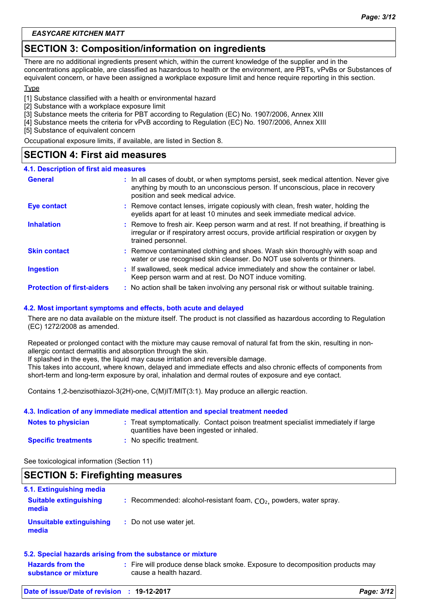#### *EASYCARE KITCHEN MATT*

### **SECTION 3: Composition/information on ingredients**

There are no additional ingredients present which, within the current knowledge of the supplier and in the concentrations applicable, are classified as hazardous to health or the environment, are PBTs, vPvBs or Substances of equivalent concern, or have been assigned a workplace exposure limit and hence require reporting in this section.

### Type

[1] Substance classified with a health or environmental hazard

- [2] Substance with a workplace exposure limit
- [3] Substance meets the criteria for PBT according to Regulation (EC) No. 1907/2006, Annex XIII
- [4] Substance meets the criteria for vPvB according to Regulation (EC) No. 1907/2006, Annex XIII
- [5] Substance of equivalent concern

Occupational exposure limits, if available, are listed in Section 8.

### **SECTION 4: First aid measures**

#### **4.1. Description of first aid measures**

| <b>General</b>                    | : In all cases of doubt, or when symptoms persist, seek medical attention. Never give<br>anything by mouth to an unconscious person. If unconscious, place in recovery<br>position and seek medical advice. |
|-----------------------------------|-------------------------------------------------------------------------------------------------------------------------------------------------------------------------------------------------------------|
| Eye contact                       | : Remove contact lenses, irrigate copiously with clean, fresh water, holding the<br>eyelids apart for at least 10 minutes and seek immediate medical advice.                                                |
| <b>Inhalation</b>                 | : Remove to fresh air. Keep person warm and at rest. If not breathing, if breathing is<br>irregular or if respiratory arrest occurs, provide artificial respiration or oxygen by<br>trained personnel.      |
| <b>Skin contact</b>               | : Remove contaminated clothing and shoes. Wash skin thoroughly with soap and<br>water or use recognised skin cleanser. Do NOT use solvents or thinners.                                                     |
| <b>Ingestion</b>                  | : If swallowed, seek medical advice immediately and show the container or label.<br>Keep person warm and at rest. Do NOT induce vomiting.                                                                   |
| <b>Protection of first-aiders</b> | : No action shall be taken involving any personal risk or without suitable training.                                                                                                                        |

#### **4.2. Most important symptoms and effects, both acute and delayed**

There are no data available on the mixture itself. The product is not classified as hazardous according to Regulation (EC) 1272/2008 as amended.

Repeated or prolonged contact with the mixture may cause removal of natural fat from the skin, resulting in nonallergic contact dermatitis and absorption through the skin.

If splashed in the eyes, the liquid may cause irritation and reversible damage.

This takes into account, where known, delayed and immediate effects and also chronic effects of components from short-term and long-term exposure by oral, inhalation and dermal routes of exposure and eye contact.

Contains 1,2-benzisothiazol-3(2H)-one, C(M)IT/MIT(3:1). May produce an allergic reaction.

#### **4.3. Indication of any immediate medical attention and special treatment needed**

| <b>Notes to physician</b>  | : Treat symptomatically. Contact poison treatment specialist immediately if large<br>quantities have been ingested or inhaled. |
|----------------------------|--------------------------------------------------------------------------------------------------------------------------------|
| <b>Specific treatments</b> | No specific treatment.                                                                                                         |

See toxicological information (Section 11)

### **SECTION 5: Firefighting measures** Recommended: alcohol-resistant foam, CO₂, powders, water spray. **: :** Do not use water jet. **5.1. Extinguishing media Suitable extinguishing media Unsuitable extinguishing media**

| 5.2. Special hazards arising from the substance or mixture |                                                                               |  |
|------------------------------------------------------------|-------------------------------------------------------------------------------|--|
| <b>Hazards from the</b>                                    | : Fire will produce dense black smoke. Exposure to decomposition products may |  |
| substance or mixture                                       | cause a health hazard.                                                        |  |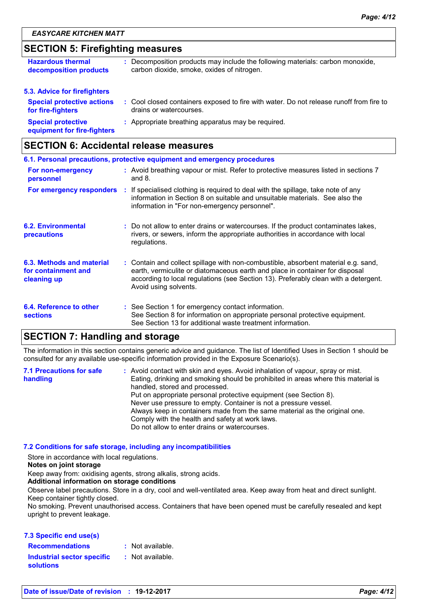### **SECTION 5: Firefighting measures**

| <b>Hazardous thermal</b><br>decomposition products                                     | : Decomposition products may include the following materials: carbon monoxide,<br>carbon dioxide, smoke, oxides of nitrogen. |
|----------------------------------------------------------------------------------------|------------------------------------------------------------------------------------------------------------------------------|
| 5.3. Advice for firefighters<br><b>Special protective actions</b><br>for fire-fighters | : Cool closed containers exposed to fire with water. Do not release runoff from fire to<br>drains or watercourses.           |
| <b>Special protective</b><br>equipment for fire-fighters                               | : Appropriate breathing apparatus may be required.                                                                           |

### **SECTION 6: Accidental release measures**

| 6.1. Personal precautions, protective equipment and emergency procedures |  |                                                                                                                                                                                                                                                                                    |
|--------------------------------------------------------------------------|--|------------------------------------------------------------------------------------------------------------------------------------------------------------------------------------------------------------------------------------------------------------------------------------|
| For non-emergency<br>personnel                                           |  | : Avoid breathing vapour or mist. Refer to protective measures listed in sections 7<br>and $8.$                                                                                                                                                                                    |
| For emergency responders                                                 |  | : If specialised clothing is required to deal with the spillage, take note of any<br>information in Section 8 on suitable and unsuitable materials. See also the<br>information in "For non-emergency personnel".                                                                  |
| <b>6.2. Environmental</b><br>precautions                                 |  | : Do not allow to enter drains or watercourses. If the product contaminates lakes,<br>rivers, or sewers, inform the appropriate authorities in accordance with local<br>regulations.                                                                                               |
| 6.3. Methods and material<br>for containment and<br>cleaning up          |  | : Contain and collect spillage with non-combustible, absorbent material e.g. sand,<br>earth, vermiculite or diatomaceous earth and place in container for disposal<br>according to local regulations (see Section 13). Preferably clean with a detergent.<br>Avoid using solvents. |
| 6.4. Reference to other<br><b>sections</b>                               |  | : See Section 1 for emergency contact information.<br>See Section 8 for information on appropriate personal protective equipment.<br>See Section 13 for additional waste treatment information.                                                                                    |

### **SECTION 7: Handling and storage**

The information in this section contains generic advice and guidance. The list of Identified Uses in Section 1 should be consulted for any available use-specific information provided in the Exposure Scenario(s).

| <b>7.1 Precautions for safe</b> | : Avoid contact with skin and eyes. Avoid inhalation of vapour, spray or mist.    |
|---------------------------------|-----------------------------------------------------------------------------------|
| handling                        | Eating, drinking and smoking should be prohibited in areas where this material is |
|                                 | handled, stored and processed.                                                    |
|                                 | Put on appropriate personal protective equipment (see Section 8).                 |
|                                 | Never use pressure to empty. Container is not a pressure vessel.                  |
|                                 | Always keep in containers made from the same material as the original one.        |
|                                 | Comply with the health and safety at work laws.                                   |
|                                 | Do not allow to enter drains or watercourses.                                     |

### **7.2 Conditions for safe storage, including any incompatibilities**

Store in accordance with local regulations.

#### **Notes on joint storage**

Keep away from: oxidising agents, strong alkalis, strong acids.

#### **Additional information on storage conditions**

Observe label precautions. Store in a dry, cool and well-ventilated area. Keep away from heat and direct sunlight. Keep container tightly closed.

No smoking. Prevent unauthorised access. Containers that have been opened must be carefully resealed and kept upright to prevent leakage.

#### **7.3 Specific end use(s)**

| <b>Recommendations</b>                         | $:$ Not available. |
|------------------------------------------------|--------------------|
| <b>Industrial sector specific</b><br>solutions | : Not available.   |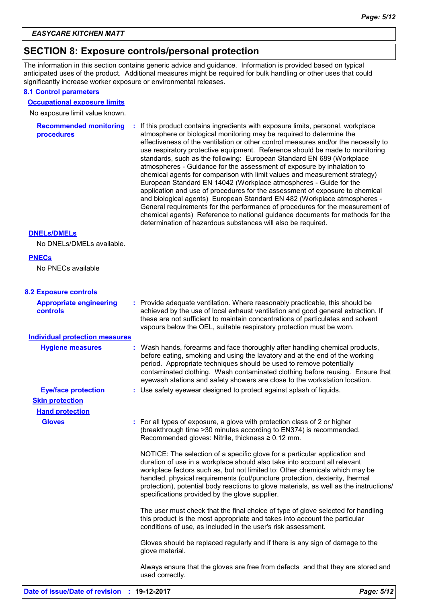### **SECTION 8: Exposure controls/personal protection**

The information in this section contains generic advice and guidance. Information is provided based on typical anticipated uses of the product. Additional measures might be required for bulk handling or other uses that could significantly increase worker exposure or environmental releases.

#### **8.1 Control parameters**

#### **Occupational exposure limits**

**Recommended monitoring**  No exposure limit value known.

| <b>Recommended monitoring</b><br>procedures | If this product contains ingredients with exposure limits, personal, workplace<br>÷.<br>atmosphere or biological monitoring may be required to determine the<br>effectiveness of the ventilation or other control measures and/or the necessity to<br>use respiratory protective equipment. Reference should be made to monitoring<br>standards, such as the following: European Standard EN 689 (Workplace<br>atmospheres - Guidance for the assessment of exposure by inhalation to<br>chemical agents for comparison with limit values and measurement strategy)<br>European Standard EN 14042 (Workplace atmospheres - Guide for the<br>application and use of procedures for the assessment of exposure to chemical<br>and biological agents) European Standard EN 482 (Workplace atmospheres -<br>General requirements for the performance of procedures for the measurement of<br>chemical agents) Reference to national guidance documents for methods for the<br>determination of hazardous substances will also be required. |
|---------------------------------------------|----------------------------------------------------------------------------------------------------------------------------------------------------------------------------------------------------------------------------------------------------------------------------------------------------------------------------------------------------------------------------------------------------------------------------------------------------------------------------------------------------------------------------------------------------------------------------------------------------------------------------------------------------------------------------------------------------------------------------------------------------------------------------------------------------------------------------------------------------------------------------------------------------------------------------------------------------------------------------------------------------------------------------------------|
|---------------------------------------------|----------------------------------------------------------------------------------------------------------------------------------------------------------------------------------------------------------------------------------------------------------------------------------------------------------------------------------------------------------------------------------------------------------------------------------------------------------------------------------------------------------------------------------------------------------------------------------------------------------------------------------------------------------------------------------------------------------------------------------------------------------------------------------------------------------------------------------------------------------------------------------------------------------------------------------------------------------------------------------------------------------------------------------------|

#### **DNELs/DMELs**

No DNELs/DMELs available.

#### **PNECs**

No PNECs available

| <b>8.2 Exposure controls</b>               |                                                                                                                                                                                                                                                                                                                                                                                                                                                                   |
|--------------------------------------------|-------------------------------------------------------------------------------------------------------------------------------------------------------------------------------------------------------------------------------------------------------------------------------------------------------------------------------------------------------------------------------------------------------------------------------------------------------------------|
| <b>Appropriate engineering</b><br>controls | : Provide adequate ventilation. Where reasonably practicable, this should be<br>achieved by the use of local exhaust ventilation and good general extraction. If<br>these are not sufficient to maintain concentrations of particulates and solvent<br>vapours below the OEL, suitable respiratory protection must be worn.                                                                                                                                       |
| <b>Individual protection measures</b>      |                                                                                                                                                                                                                                                                                                                                                                                                                                                                   |
| <b>Hygiene measures</b>                    | Wash hands, forearms and face thoroughly after handling chemical products,<br>before eating, smoking and using the lavatory and at the end of the working<br>period. Appropriate techniques should be used to remove potentially<br>contaminated clothing. Wash contaminated clothing before reusing. Ensure that<br>eyewash stations and safety showers are close to the workstation location.                                                                   |
| <b>Eye/face protection</b>                 | : Use safety eyewear designed to protect against splash of liquids.                                                                                                                                                                                                                                                                                                                                                                                               |
| <b>Skin protection</b>                     |                                                                                                                                                                                                                                                                                                                                                                                                                                                                   |
| <b>Hand protection</b>                     |                                                                                                                                                                                                                                                                                                                                                                                                                                                                   |
| <b>Gloves</b>                              | : For all types of exposure, a glove with protection class of 2 or higher<br>(breakthrough time > 30 minutes according to EN374) is recommended.<br>Recommended gloves: Nitrile, thickness $\geq 0.12$ mm.                                                                                                                                                                                                                                                        |
|                                            | NOTICE: The selection of a specific glove for a particular application and<br>duration of use in a workplace should also take into account all relevant<br>workplace factors such as, but not limited to: Other chemicals which may be<br>handled, physical requirements (cut/puncture protection, dexterity, thermal<br>protection), potential body reactions to glove materials, as well as the instructions/<br>specifications provided by the glove supplier. |
|                                            | The user must check that the final choice of type of glove selected for handling<br>this product is the most appropriate and takes into account the particular<br>conditions of use, as included in the user's risk assessment.                                                                                                                                                                                                                                   |
|                                            | Gloves should be replaced regularly and if there is any sign of damage to the<br>glove material.                                                                                                                                                                                                                                                                                                                                                                  |
|                                            | Always ensure that the gloves are free from defects and that they are stored and<br>used correctly.                                                                                                                                                                                                                                                                                                                                                               |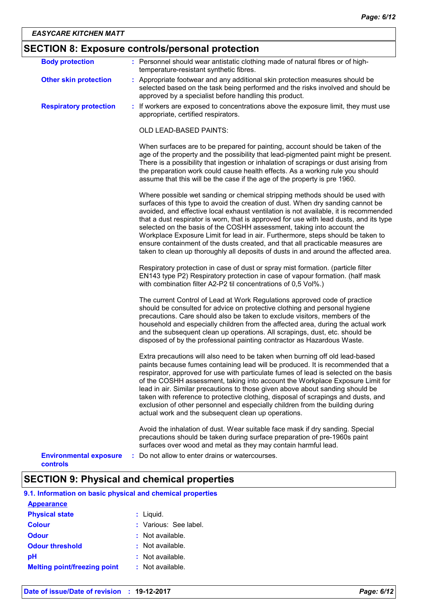### **SECTION 8: Exposure controls/personal protection**

| <b>Body protection</b>                           | : Personnel should wear antistatic clothing made of natural fibres or of high-<br>temperature-resistant synthetic fibres.                                                                                                                                                                                                                                                                                                                                                                                                                                                                                                                                                               |
|--------------------------------------------------|-----------------------------------------------------------------------------------------------------------------------------------------------------------------------------------------------------------------------------------------------------------------------------------------------------------------------------------------------------------------------------------------------------------------------------------------------------------------------------------------------------------------------------------------------------------------------------------------------------------------------------------------------------------------------------------------|
| <b>Other skin protection</b>                     | : Appropriate footwear and any additional skin protection measures should be<br>selected based on the task being performed and the risks involved and should be<br>approved by a specialist before handling this product.                                                                                                                                                                                                                                                                                                                                                                                                                                                               |
| <b>Respiratory protection</b>                    | : If workers are exposed to concentrations above the exposure limit, they must use<br>appropriate, certified respirators.                                                                                                                                                                                                                                                                                                                                                                                                                                                                                                                                                               |
|                                                  | OLD LEAD-BASED PAINTS:                                                                                                                                                                                                                                                                                                                                                                                                                                                                                                                                                                                                                                                                  |
|                                                  | When surfaces are to be prepared for painting, account should be taken of the<br>age of the property and the possibility that lead-pigmented paint might be present.<br>There is a possibility that ingestion or inhalation of scrapings or dust arising from<br>the preparation work could cause health effects. As a working rule you should<br>assume that this will be the case if the age of the property is pre 1960.                                                                                                                                                                                                                                                             |
|                                                  | Where possible wet sanding or chemical stripping methods should be used with<br>surfaces of this type to avoid the creation of dust. When dry sanding cannot be<br>avoided, and effective local exhaust ventilation is not available, it is recommended<br>that a dust respirator is worn, that is approved for use with lead dusts, and its type<br>selected on the basis of the COSHH assessment, taking into account the<br>Workplace Exposure Limit for lead in air. Furthermore, steps should be taken to<br>ensure containment of the dusts created, and that all practicable measures are<br>taken to clean up thoroughly all deposits of dusts in and around the affected area. |
|                                                  | Respiratory protection in case of dust or spray mist formation. (particle filter<br>EN143 type P2) Respiratory protection in case of vapour formation. (half mask<br>with combination filter A2-P2 til concentrations of 0,5 Vol%.)                                                                                                                                                                                                                                                                                                                                                                                                                                                     |
|                                                  | The current Control of Lead at Work Regulations approved code of practice<br>should be consulted for advice on protective clothing and personal hygiene<br>precautions. Care should also be taken to exclude visitors, members of the<br>household and especially children from the affected area, during the actual work<br>and the subsequent clean up operations. All scrapings, dust, etc. should be<br>disposed of by the professional painting contractor as Hazardous Waste.                                                                                                                                                                                                     |
|                                                  | Extra precautions will also need to be taken when burning off old lead-based<br>paints because fumes containing lead will be produced. It is recommended that a<br>respirator, approved for use with particulate fumes of lead is selected on the basis<br>of the COSHH assessment, taking into account the Workplace Exposure Limit for<br>lead in air. Similar precautions to those given above about sanding should be<br>taken with reference to protective clothing, disposal of scrapings and dusts, and<br>exclusion of other personnel and especially children from the building during<br>actual work and the subsequent clean up operations.                                  |
|                                                  | Avoid the inhalation of dust. Wear suitable face mask if dry sanding. Special<br>precautions should be taken during surface preparation of pre-1960s paint<br>surfaces over wood and metal as they may contain harmful lead.                                                                                                                                                                                                                                                                                                                                                                                                                                                            |
| <b>Environmental exposure</b><br><b>controls</b> | Do not allow to enter drains or watercourses.                                                                                                                                                                                                                                                                                                                                                                                                                                                                                                                                                                                                                                           |

### **SECTION 9: Physical and chemical properties**

**9.1. Information on basic physical and chemical properties**

| <b>Appearance</b>                   |                       |
|-------------------------------------|-----------------------|
| <b>Physical state</b>               | : Liguid.             |
| <b>Colour</b>                       | : Various: See label. |
| <b>Odour</b>                        | $:$ Not available.    |
| <b>Odour threshold</b>              | $\pm$ Not available.  |
| рH                                  | $:$ Not available.    |
| <b>Melting point/freezing point</b> | $:$ Not available.    |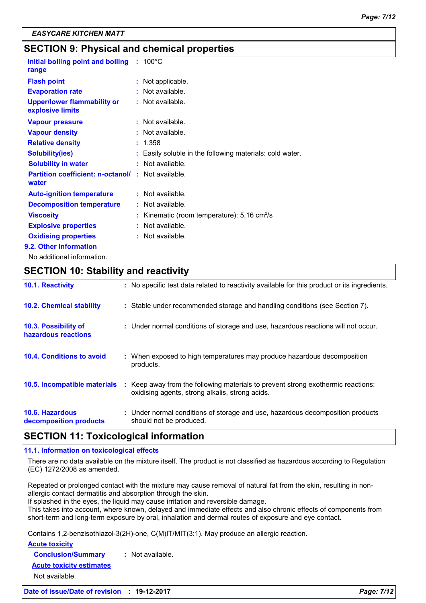### **SECTION 9: Physical and chemical properties**

| Initial boiling point and boiling : 100°C<br>range     |                    |                                                          |
|--------------------------------------------------------|--------------------|----------------------------------------------------------|
| <b>Flash point</b>                                     | : Not applicable.  |                                                          |
| <b>Evaporation rate</b>                                | : Not available.   |                                                          |
| <b>Upper/lower flammability or</b><br>explosive limits | $:$ Not available. |                                                          |
| <b>Vapour pressure</b>                                 | : Not available.   |                                                          |
| <b>Vapour density</b>                                  | $:$ Not available. |                                                          |
| <b>Relative density</b>                                | : 1,358            |                                                          |
| <b>Solubility(ies)</b>                                 |                    | : Easily soluble in the following materials: cold water. |
| <b>Solubility in water</b>                             | : Not available.   |                                                          |
| <b>Partition coefficient: n-octanol/</b><br>water      | $:$ Not available. |                                                          |
| <b>Auto-ignition temperature</b>                       | : Not available.   |                                                          |
| <b>Decomposition temperature</b>                       | : Not available.   |                                                          |
| <b>Viscosity</b>                                       |                    | Kinematic (room temperature): 5,16 cm <sup>2</sup> /s    |
| <b>Explosive properties</b>                            | : Not available.   |                                                          |
| <b>Oxidising properties</b>                            | $:$ Not available. |                                                          |
| 9.2. Other information                                 |                    |                                                          |
|                                                        |                    |                                                          |

No additional information.

| <b>SECTION 10: Stability and reactivity</b>      |                                                                                                                                   |  |
|--------------------------------------------------|-----------------------------------------------------------------------------------------------------------------------------------|--|
| 10.1. Reactivity                                 | : No specific test data related to reactivity available for this product or its ingredients.                                      |  |
| <b>10.2. Chemical stability</b>                  | : Stable under recommended storage and handling conditions (see Section 7).                                                       |  |
| 10.3. Possibility of<br>hazardous reactions      | : Under normal conditions of storage and use, hazardous reactions will not occur.                                                 |  |
| 10.4. Conditions to avoid                        | : When exposed to high temperatures may produce hazardous decomposition<br>products.                                              |  |
| 10.5. Incompatible materials                     | Keep away from the following materials to prevent strong exothermic reactions:<br>oxidising agents, strong alkalis, strong acids. |  |
| <b>10.6. Hazardous</b><br>decomposition products | : Under normal conditions of storage and use, hazardous decomposition products<br>should not be produced.                         |  |

### **SECTION 11: Toxicological information**

#### **11.1. Information on toxicological effects**

There are no data available on the mixture itself. The product is not classified as hazardous according to Regulation (EC) 1272/2008 as amended.

Repeated or prolonged contact with the mixture may cause removal of natural fat from the skin, resulting in nonallergic contact dermatitis and absorption through the skin.

If splashed in the eyes, the liquid may cause irritation and reversible damage.

This takes into account, where known, delayed and immediate effects and also chronic effects of components from short-term and long-term exposure by oral, inhalation and dermal routes of exposure and eye contact.

Contains 1,2-benzisothiazol-3(2H)-one, C(M)IT/MIT(3:1). May produce an allergic reaction.

#### **Acute toxicity**

**Conclusion/Summary :** Not available.

**Acute toxicity estimates**

Not available.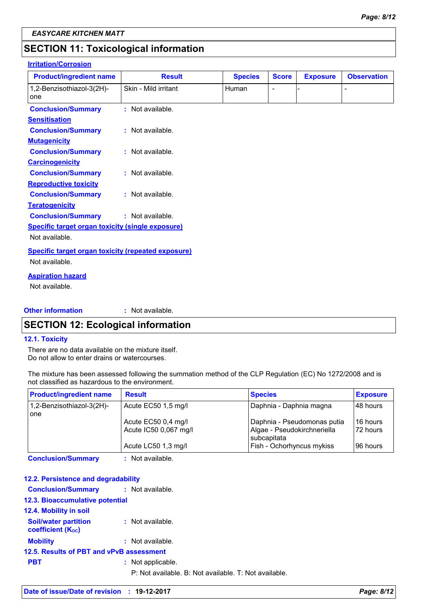### **SECTION 11: Toxicological information**

### **Irritation/Corrosion**

| <b>Product/ingredient name</b>                            | <b>Result</b>        | <b>Species</b> | <b>Score</b>             | <b>Exposure</b> | <b>Observation</b> |
|-----------------------------------------------------------|----------------------|----------------|--------------------------|-----------------|--------------------|
| 1,2-Benzisothiazol-3(2H)-<br>one                          | Skin - Mild irritant | Human          | $\overline{\phantom{a}}$ |                 |                    |
| <b>Conclusion/Summary</b>                                 | : Not available.     |                |                          |                 |                    |
| <b>Sensitisation</b>                                      |                      |                |                          |                 |                    |
| <b>Conclusion/Summary</b>                                 | : Not available.     |                |                          |                 |                    |
| <b>Mutagenicity</b>                                       |                      |                |                          |                 |                    |
| <b>Conclusion/Summary</b>                                 | : Not available.     |                |                          |                 |                    |
| <b>Carcinogenicity</b>                                    |                      |                |                          |                 |                    |
| <b>Conclusion/Summary</b>                                 | : Not available.     |                |                          |                 |                    |
| <b>Reproductive toxicity</b>                              |                      |                |                          |                 |                    |
| <b>Conclusion/Summary</b>                                 | : Not available.     |                |                          |                 |                    |
| <b>Teratogenicity</b>                                     |                      |                |                          |                 |                    |
| <b>Conclusion/Summary</b>                                 | : Not available.     |                |                          |                 |                    |
| <b>Specific target organ toxicity (single exposure)</b>   |                      |                |                          |                 |                    |
| Not available.                                            |                      |                |                          |                 |                    |
| <b>Specific target organ toxicity (repeated exposure)</b> |                      |                |                          |                 |                    |
| Not available.                                            |                      |                |                          |                 |                    |
| <b>Aspiration hazard</b>                                  |                      |                |                          |                 |                    |
| Not available.                                            |                      |                |                          |                 |                    |
| <b>Other information</b>                                  | : Not available.     |                |                          |                 |                    |

### **SECTION 12: Ecological information**

#### **12.1. Toxicity**

There are no data available on the mixture itself. Do not allow to enter drains or watercourses.

The mixture has been assessed following the summation method of the CLP Regulation (EC) No 1272/2008 and is not classified as hazardous to the environment.

| <b>Product/ingredient name</b> | <b>Result</b>         | <b>Species</b>              | <b>Exposure</b> |
|--------------------------------|-----------------------|-----------------------------|-----------------|
| 1,2-Benzisothiazol-3(2H)-      | Acute EC50 1,5 mg/l   | Daphnia - Daphnia magna     | 148 hours       |
| <b>l</b> one                   |                       |                             |                 |
|                                | Acute EC50 0,4 mg/l   | Daphnia - Pseudomonas putia | 16 hours        |
|                                | Acute IC50 0,067 mg/l | Algae - Pseudokirchneriella | 172 hours       |
|                                |                       | subcapitata                 |                 |
|                                | Acute LC50 1,3 mg/l   | Fish - Ochorhyncus mykiss   | 196 hours       |
| .                              | .<br>.                |                             |                 |

**Conclusion/Summary :** Not available.

### **12.2. Persistence and degradability**

| <b>Conclusion/Summary : Not available.</b>              |                                                       |
|---------------------------------------------------------|-------------------------------------------------------|
| 12.3. Bioaccumulative potential                         |                                                       |
| 12.4. Mobility in soil                                  |                                                       |
| <b>Soil/water partition</b><br><b>coefficient (Koc)</b> | : Not available.                                      |
| <b>Mobility</b>                                         | : Not available.                                      |
| 12.5. Results of PBT and vPvB assessment                |                                                       |
| <b>PBT</b>                                              | : Not applicable.                                     |
|                                                         | P: Not available, B: Not available, T: Not available. |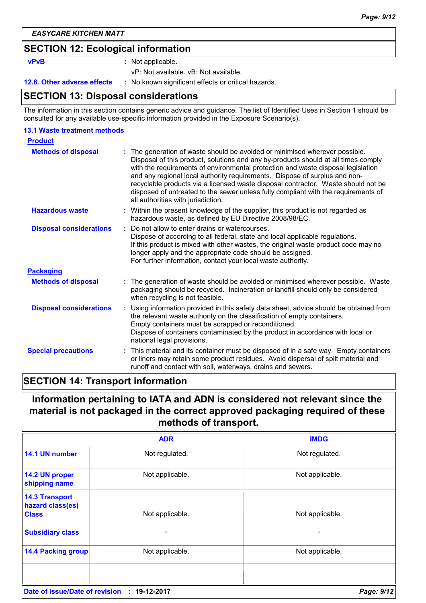*EASYCARE KITCHEN MATT*

### **SECTION 12: Ecological information**

**vPvB :** Not applicable.

vP: Not available. vB: Not available.

**12.6. Other adverse effects** : No known significant effects or critical hazards.

### **SECTION 13: Disposal considerations**

The information in this section contains generic advice and guidance. The list of Identified Uses in Section 1 should be consulted for any available use-specific information provided in the Exposure Scenario(s).

#### **13.1 Waste treatment methods**

| <b>Product</b>                 |                                                                                                                                                                                                                                                                                                                                                                                                                                                                                                                                                      |  |
|--------------------------------|------------------------------------------------------------------------------------------------------------------------------------------------------------------------------------------------------------------------------------------------------------------------------------------------------------------------------------------------------------------------------------------------------------------------------------------------------------------------------------------------------------------------------------------------------|--|
| <b>Methods of disposal</b>     | : The generation of waste should be avoided or minimised wherever possible.<br>Disposal of this product, solutions and any by-products should at all times comply<br>with the requirements of environmental protection and waste disposal legislation<br>and any regional local authority requirements. Dispose of surplus and non-<br>recyclable products via a licensed waste disposal contractor. Waste should not be<br>disposed of untreated to the sewer unless fully compliant with the requirements of<br>all authorities with jurisdiction. |  |
| <b>Hazardous waste</b>         | : Within the present knowledge of the supplier, this product is not regarded as<br>hazardous waste, as defined by EU Directive 2008/98/EC.                                                                                                                                                                                                                                                                                                                                                                                                           |  |
| <b>Disposal considerations</b> | Do not allow to enter drains or watercourses.<br>Dispose of according to all federal, state and local applicable regulations.<br>If this product is mixed with other wastes, the original waste product code may no<br>longer apply and the appropriate code should be assigned.<br>For further information, contact your local waste authority.                                                                                                                                                                                                     |  |
| <b>Packaging</b>               |                                                                                                                                                                                                                                                                                                                                                                                                                                                                                                                                                      |  |
| <b>Methods of disposal</b>     | : The generation of waste should be avoided or minimised wherever possible. Waste<br>packaging should be recycled. Incineration or landfill should only be considered<br>when recycling is not feasible.                                                                                                                                                                                                                                                                                                                                             |  |
| <b>Disposal considerations</b> | : Using information provided in this safety data sheet, advice should be obtained from<br>the relevant waste authority on the classification of empty containers.<br>Empty containers must be scrapped or reconditioned.<br>Dispose of containers contaminated by the product in accordance with local or<br>national legal provisions.                                                                                                                                                                                                              |  |
| <b>Special precautions</b>     | : This material and its container must be disposed of in a safe way. Empty containers<br>or liners may retain some product residues. Avoid dispersal of spilt material and<br>runoff and contact with soil, waterways, drains and sewers.                                                                                                                                                                                                                                                                                                            |  |

### **SECTION 14: Transport information**

### **Information pertaining to IATA and ADN is considered not relevant since the material is not packaged in the correct approved packaging required of these methods of transport.**

|                                                           | <b>ADR</b>       | <b>IMDG</b>     |
|-----------------------------------------------------------|------------------|-----------------|
| 14.1 UN number                                            | Not regulated.   | Not regulated.  |
| 14.2 UN proper<br>shipping name                           | Not applicable.  | Not applicable. |
| <b>14.3 Transport</b><br>hazard class(es)<br><b>Class</b> | Not applicable.  | Not applicable. |
| <b>Subsidiary class</b>                                   |                  |                 |
| <b>14.4 Packing group</b>                                 | Not applicable.  | Not applicable. |
|                                                           |                  |                 |
| Date of issue/Date of revision                            | 19-12-2017<br>÷. | Page: 9/12      |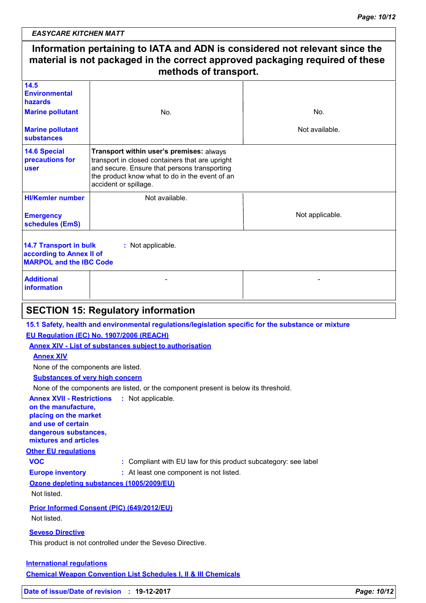| <b>EASYCARE KITCHEN MATT</b> |  |
|------------------------------|--|
|------------------------------|--|

### **Information pertaining to IATA and ADN is considered not relevant since the material is not packaged in the correct approved packaging required of these methods of transport.** Not available. Not applicable. **HI/Kemler number 14.5 Environmental hazards 14.6 Special precautions for user 14.7 Transport in bulk according to Annex II of MARPOL and the IBC Code :** Not applicable. **Emergency schedules (EmS) Marine pollutant Marine pollutant substances** No. Not available. **Additional information** - Harrison and the second control of the second second control of the second second control of the second second No. **Transport within user's premises:** always transport in closed containers that are upright and secure. Ensure that persons transporting the product know what to do in the event of an accident or spillage. **SECTION 15: Regulatory information 15.1 Safety, health and environmental regulations/legislation specific for the substance or mixture Other EU regulations Annex XVII - Restrictions on the manufacture, placing on the market and use of certain dangerous substances, mixtures and articles** : Not applicable. **Europe inventory :** At least one component is not listed. **International regulations EU Regulation (EC) No. 1907/2006 (REACH) Annex XIV - List of substances subject to authorisation Annex XIV Substances of very high concern** None of the components are listed, or the component present is below its threshold. None of the components are listed. **VOC :** Compliant with EU law for this product subcategory: see label **Seveso Directive** This product is not controlled under the Seveso Directive. **Chemical Weapon Convention List Schedules I, II & III Chemicals Ozone depleting substances (1005/2009/EU)** Not listed. **Prior Informed Consent (PIC) (649/2012/EU)** Not listed.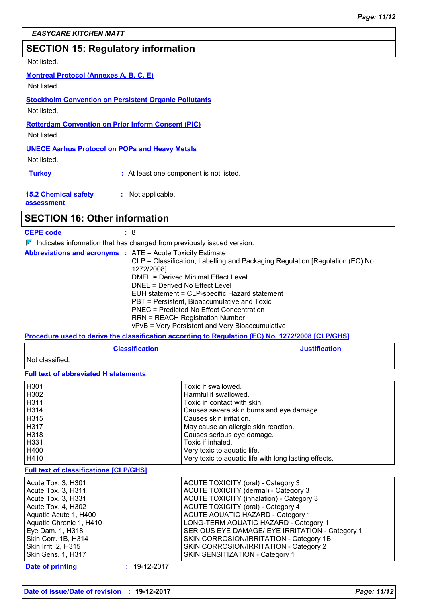### **SECTION 15: Regulatory information**

Not listed.

#### **Montreal Protocol (Annexes A, B, C, E)**

Not listed.

#### **Stockholm Convention on Persistent Organic Pollutants** Not listed.

**Rotterdam Convention on Prior Inform Consent (PIC)**

Not listed.

### **UNECE Aarhus Protocol on POPs and Heavy Metals**

Not listed.

**Turkey :** At least one component is not listed.

| <b>15.2 Chemical safety</b> | : Not applicable. |
|-----------------------------|-------------------|
| assessment                  |                   |

### **SECTION 16: Other information**

**CEPE code :** 8  $\nabla$  Indicates information that has changed from previously issued version.

|  | <b>Abbreviations and acronyms : ATE = Acute Toxicity Estimate</b><br>CLP = Classification, Labelling and Packaging Regulation [Regulation (EC) No.<br>1272/2008]<br>DMEL = Derived Minimal Effect Level<br>DNEL = Derived No Effect Level<br>EUH statement = CLP-specific Hazard statement<br>PBT = Persistent, Bioaccumulative and Toxic<br><b>PNEC = Predicted No Effect Concentration</b><br><b>RRN = REACH Registration Number</b> |
|--|----------------------------------------------------------------------------------------------------------------------------------------------------------------------------------------------------------------------------------------------------------------------------------------------------------------------------------------------------------------------------------------------------------------------------------------|
|  | vPvB = Very Persistent and Very Bioaccumulative                                                                                                                                                                                                                                                                                                                                                                                        |

### **Procedure used to derive the classification according to Regulation (EC) No. 1272/2008 [CLP/GHS]**

| <b>Classification</b> | <b>Justification</b> |
|-----------------------|----------------------|
| Not classified.       |                      |

**Full text of abbreviated H statements**

#### **Full text of classifications [CLP/GHS]**

| Acute Tox. 3, H301      | ACUTE TOXICITY (oral) - Category 3              |
|-------------------------|-------------------------------------------------|
| Acute Tox. 3, H311      | ACUTE TOXICITY (dermal) - Category 3            |
| Acute Tox. 3, H331      | ACUTE TOXICITY (inhalation) - Category 3        |
| Acute Tox. 4, H302      | ACUTE TOXICITY (oral) - Category 4              |
| Aquatic Acute 1, H400   | <b>ACUTE AQUATIC HAZARD - Category 1</b>        |
| Aquatic Chronic 1, H410 | LONG-TERM AQUATIC HAZARD - Category 1           |
| Eye Dam. 1, H318        | SERIOUS EYE DAMAGE/ EYE IRRITATION - Category 1 |
| Skin Corr. 1B, H314     | SKIN CORROSION/IRRITATION - Category 1B         |
| Skin Irrit. 2, H315     | SKIN CORROSION/IRRITATION - Category 2          |
| Skin Sens. 1, H317      | SKIN SENSITIZATION - Category 1                 |

#### **Date of printing :** 19-12-2017